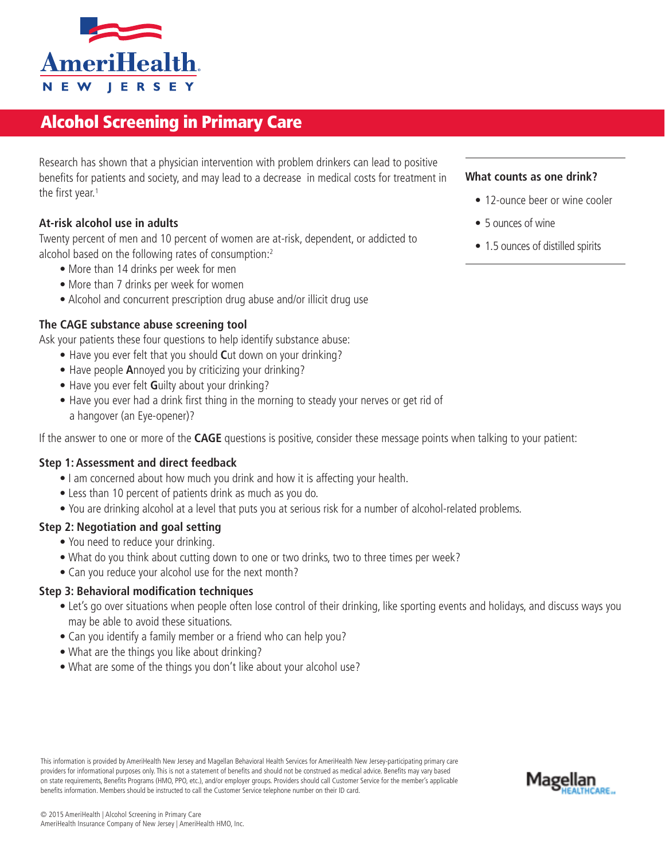

# Alcohol Screening in Primary Care

Research has shown that a physician intervention with problem drinkers can lead to positive benefits for patients and society, and may lead to a decrease in medical costs for treatment in the first year.<sup>1</sup>

# **At-risk alcohol use in adults**

Twenty percent of men and 10 percent of women are at-risk, dependent, or addicted to alcohol based on the following rates of consumption:2

- More than 14 drinks per week for men
- More than 7 drinks per week for women
- Alcohol and concurrent prescription drug abuse and/or illicit drug use

## **The CAGE substance abuse screening tool**

Ask your patients these four questions to help identify substance abuse:

- Have you ever felt that you should **C**ut down on your drinking?
- Have people **A**nnoyed you by criticizing your drinking?
- Have you ever felt **G**uilty about your drinking?
- Have you ever had a drink first thing in the morning to steady your nerves or get rid of a hangover (an Eye-opener)?

If the answer to one or more of the **CAGE** questions is positive, consider these message points when talking to your patient:

#### **Step 1: Assessment and direct feedback**

- I am concerned about how much you drink and how it is affecting your health.
- Less than 10 percent of patients drink as much as you do.
- You are drinking alcohol at a level that puts you at serious risk for a number of alcohol-related problems.

## **Step 2: Negotiation and goal setting**

- You need to reduce your drinking.
- What do you think about cutting down to one or two drinks, two to three times per week?
- Can you reduce your alcohol use for the next month?

#### **Step 3: Behavioral modification techniques**

- Let's go over situations when people often lose control of their drinking, like sporting events and holidays, and discuss ways you may be able to avoid these situations.
- Can you identify a family member or a friend who can help you?
- What are the things you like about drinking?
- What are some of the things you don't like about your alcohol use?

This information is provided by AmeriHealth New Jersey and Magellan Behavioral Health Services for AmeriHealth New Jersey-participating primary care providers for informational purposes only. This is not a statement of benefits and should not be construed as medical advice. Benefits may vary based on state requirements, Benefits Programs (HMO, PPO, etc.), and/or employer groups. Providers should call Customer Service for the member's applicable benefits information. Members should be instructed to call the Customer Service telephone number on their ID card.

# **What counts as one drink?**

- 12-ounce beer or wine cooler
- 5 ounces of wine
- 1.5 ounces of distilled spirits